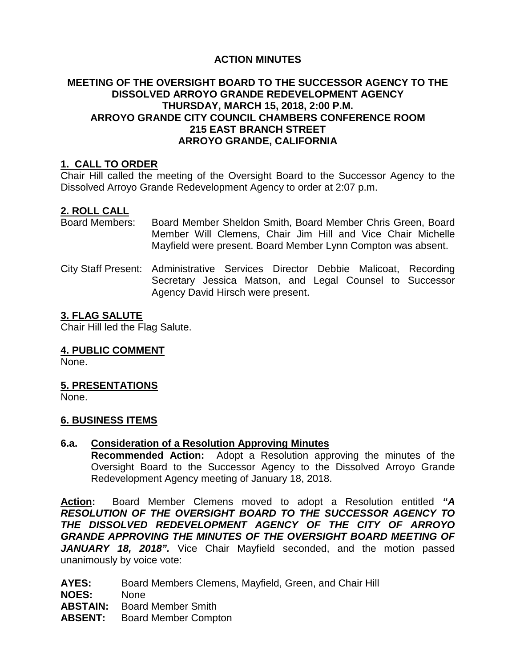## **ACTION MINUTES**

## **MEETING OF THE OVERSIGHT BOARD TO THE SUCCESSOR AGENCY TO THE DISSOLVED ARROYO GRANDE REDEVELOPMENT AGENCY THURSDAY, MARCH 15, 2018, 2:00 P.M. ARROYO GRANDE CITY COUNCIL CHAMBERS CONFERENCE ROOM 215 EAST BRANCH STREET ARROYO GRANDE, CALIFORNIA**

#### **1. CALL TO ORDER**

Chair Hill called the meeting of the Oversight Board to the Successor Agency to the Dissolved Arroyo Grande Redevelopment Agency to order at 2:07 p.m.

# **2. ROLL CALL**

- Board Member Sheldon Smith, Board Member Chris Green, Board Member Will Clemens, Chair Jim Hill and Vice Chair Michelle Mayfield were present. Board Member Lynn Compton was absent.
- City Staff Present: Administrative Services Director Debbie Malicoat, Recording Secretary Jessica Matson, and Legal Counsel to Successor Agency David Hirsch were present.

#### **3. FLAG SALUTE**

Chair Hill led the Flag Salute.

#### **4. PUBLIC COMMENT**

None.

#### **5. PRESENTATIONS**

None.

#### **6. BUSINESS ITEMS**

#### **6.a. Consideration of a Resolution Approving Minutes**

**Recommended Action:** Adopt a Resolution approving the minutes of the Oversight Board to the Successor Agency to the Dissolved Arroyo Grande Redevelopment Agency meeting of January 18, 2018.

**Action:** Board Member Clemens moved to adopt a Resolution entitled *"A RESOLUTION OF THE OVERSIGHT BOARD TO THE SUCCESSOR AGENCY TO THE DISSOLVED REDEVELOPMENT AGENCY OF THE CITY OF ARROYO GRANDE APPROVING THE MINUTES OF THE OVERSIGHT BOARD MEETING OF*  JANUARY 18, 2018". Vice Chair Mayfield seconded, and the motion passed unanimously by voice vote:

**AYES:** Board Members Clemens, Mayfield, Green, and Chair Hill **NOES:** None<br>**ABSTAIN:** Board **ABSTAIN:** Board Member Smith **ABSENT:** Board Member Compton